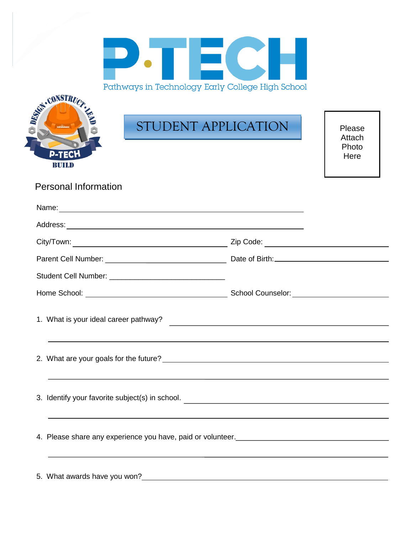



# STUDENT APPLICATION

Please Attach Photo Here

Personal Information

|                              | 1. What is your ideal career pathway?<br><u> and the contract of the contract of the contract of the contract of the contract of the contract of the contract of the contract of the contract of the contract of the contract of t</u> |  |
|------------------------------|----------------------------------------------------------------------------------------------------------------------------------------------------------------------------------------------------------------------------------------|--|
|                              |                                                                                                                                                                                                                                        |  |
|                              | 3. Identify your favorite subject(s) in school.                                                                                                                                                                                        |  |
|                              | ,我们也不会有什么?""我们的人,我们也不会有什么?""我们的人,我们也不会有什么?""我们的人,我们也不会有什么?""我们的人,我们也不会有什么?""我们的人                                                                                                                                                       |  |
| 5. What awards have you won? |                                                                                                                                                                                                                                        |  |